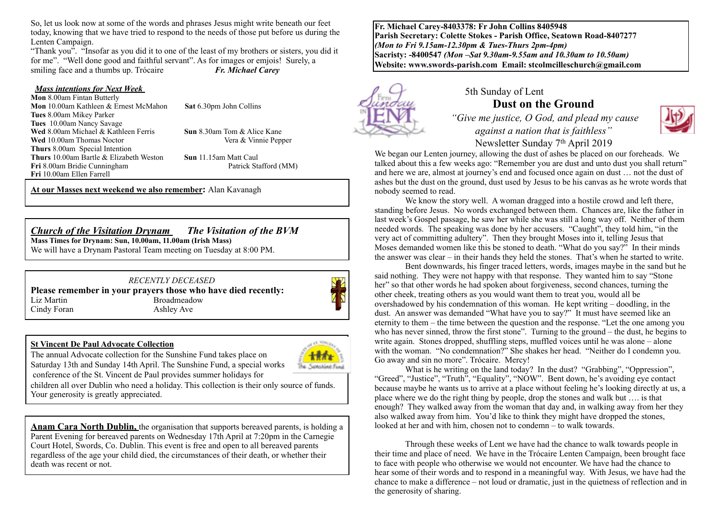So, let us look now at some of the words and phrases Jesus might write beneath our feet today, knowing that we have tried to respond to the needs of those put before us during the Lenten Campaign.

"Thank you". "Insofar as you did it to one of the least of my brothers or sisters, you did it for me". "Well done good and faithful servant". As for images or emjois! Surely, a smiling face and a thumbs up. Trócaire *Fr. Michael Carey* 

#### *Mass intentions for Next Week*

 $\overline{a}$ 

**Mon** 8.00am Fintan Butterly **Mon** 10.00am Kathleen & Ernest McMahon **Sat** 6.30pm John Collins **Tues** 8.00am Mikey Parker **Tues** 10.00am Nancy Savage **Wed** 8.00am Michael & Kathleen Ferris **Sun** 8.30am Tom & Alice Kane **Wed** 10.00am Thomas Noctor Vera & Vinnie Pepper **Thurs** 8.00am Special Intention **Thurs** 10.00am Bartle & Elizabeth Weston **Sun** 11.15am Matt Caul Fri 8.00am Bridie Cunningham Patrick Stafford (MM) **Fri** 10.00am Ellen Farrell

**At our Masses next weekend we also remember:** Alan Kavanagh

## *Church of the Visitation Drynam**The Visitation of the BVM*

**Mass Times for Drynam: Sun, 10.00am, 11.00am (Irish Mass)**  We will have a Drynam Pastoral Team meeting on Tuesday at 8:00 PM.

*RECENTLY DECEASED* **Please remember in your prayers those who have died recently:**<br>Liz Martin Broadmeadow **Broadmeadow** Cindy Foran Ashley Ave

#### **St Vincent De Paul Advocate Collection**

anshine Fu

The annual Advocate collection for the Sunshine Fund takes place on Saturday 13th and Sunday 14th April. The Sunshine Fund, a special works conference of the St. Vincent de Paul provides summer holidays for

children all over Dublin who need a holiday. This collection is their only source of funds. Your generosity is greatly appreciated.

**Anam Cara North Dublin,** the organisation that supports bereaved parents, is holding a Parent Evening for bereaved parents on Wednesday 17th April at 7:20pm in the Carnegie Court Hotel, Swords, Co. Dublin. This event is free and open to all bereaved parents regardless of the age your child died, the circumstances of their death, or whether their death was recent or not.

**Fr. Michael Carey-8403378: Fr John Collins 8405948 Parish Secretary: Colette Stokes - Parish Office, Seatown Road-8407277**  *(Mon to Fri 9.15am-12.30pm & Tues-Thurs 2pm-4pm)*  **Sacristy: -8400547** *(Mon –Sat 9.30am-9.55am and 10.30am to 10.50am)* **Website: [www.swords-parish.com Email:](http://www.swords-parish.com%20%20email) stcolmcilleschurch@gmail.com**



# 5th Sunday of Lent **Dust on the Ground**

 *"Give me justice, O God, and plead my cause against a nation that is faithless"* 



We began our Lenten journey, allowing the dust of ashes be placed on our foreheads. We talked about this a few weeks ago: "Remember you are dust and unto dust you shall return" and here we are, almost at journey's end and focused once again on dust … not the dust of ashes but the dust on the ground, dust used by Jesus to be his canvas as he wrote words that nobody seemed to read.

We know the story well. A woman dragged into a hostile crowd and left there, standing before Jesus. No words exchanged between them. Chances are, like the father in last week's Gospel passage, he saw her while she was still a long way off. Neither of them needed words. The speaking was done by her accusers. "Caught", they told him, "in the very act of committing adultery". Then they brought Moses into it, telling Jesus that Moses demanded women like this be stoned to death. "What do you say?" In their minds the answer was clear – in their hands they held the stones. That's when he started to write.

Bent downwards, his finger traced letters, words, images maybe in the sand but he said nothing. They were not happy with that response. They wanted him to say "Stone her" so that other words he had spoken about forgiveness, second chances, turning the other cheek, treating others as you would want them to treat you, would all be overshadowed by his condemnation of this woman. He kept writing – doodling, in the dust. An answer was demanded "What have you to say?" It must have seemed like an eternity to them – the time between the question and the response. "Let the one among you who has never sinned, throw the first stone". Turning to the ground – the dust, he begins to write again. Stones dropped, shuffling steps, muffled voices until he was alone – alone with the woman. "No condemnation?" She shakes her head. "Neither do I condemn you. Go away and sin no more". Trócaire. Mercy!

What is he writing on the land today? In the dust? "Grabbing", "Oppression", "Greed", "Justice", "Truth", "Equality", "NOW". Bent down, he's avoiding eye contact because maybe he wants us to arrive at a place without feeling he's looking directly at us, a place where we do the right thing by people, drop the stones and walk but …. is that enough? They walked away from the woman that day and, in walking away from her they also walked away from him. You'd like to think they might have dropped the stones, looked at her and with him, chosen not to condemn – to walk towards.

Through these weeks of Lent we have had the chance to walk towards people in their time and place of need. We have in the Trócaire Lenten Campaign, been brought face to face with people who otherwise we would not encounter. We have had the chance to hear some of their words and to respond in a meaningful way. With Jesus, we have had the chance to make a difference – not loud or dramatic, just in the quietness of reflection and in the generosity of sharing.